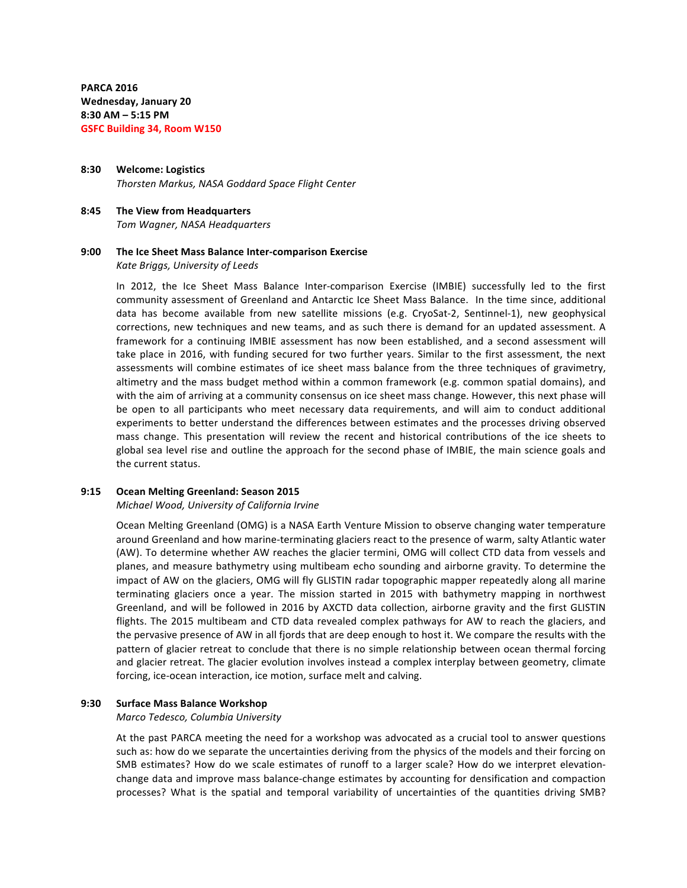**PARCA 2016 Wednesday, January 20 8:30 AM – 5:15 PM GSFC Building 34, Room W150**

**8:30 Welcome: Logistics** *Thorsten Markus, NASA Goddard Space Flight Center*

**8:45 The View from Headquarters** *Tom Wagner, NASA Headquarters*

## **9:00** The Ice Sheet Mass Balance Inter-comparison Exercise *Kate Briggs, University of Leeds*

In 2012, the Ice Sheet Mass Balance Inter-comparison Exercise (IMBIE) successfully led to the first community assessment of Greenland and Antarctic Ice Sheet Mass Balance. In the time since, additional data has become available from new satellite missions (e.g. CryoSat-2, Sentinnel-1), new geophysical corrections, new techniques and new teams, and as such there is demand for an updated assessment. A framework for a continuing IMBIE assessment has now been established, and a second assessment will take place in 2016, with funding secured for two further years. Similar to the first assessment, the next assessments will combine estimates of ice sheet mass balance from the three techniques of gravimetry, altimetry and the mass budget method within a common framework (e.g. common spatial domains), and with the aim of arriving at a community consensus on ice sheet mass change. However, this next phase will be open to all participants who meet necessary data requirements, and will aim to conduct additional experiments to better understand the differences between estimates and the processes driving observed mass change. This presentation will review the recent and historical contributions of the ice sheets to global sea level rise and outline the approach for the second phase of IMBIE, the main science goals and the current status.

## **9:15 Ocean Melting Greenland: Season 2015**

#### *Michael Wood, University of California Irvine*

Ocean Melting Greenland (OMG) is a NASA Earth Venture Mission to observe changing water temperature around Greenland and how marine-terminating glaciers react to the presence of warm, salty Atlantic water (AW). To determine whether AW reaches the glacier termini, OMG will collect CTD data from vessels and planes, and measure bathymetry using multibeam echo sounding and airborne gravity. To determine the impact of AW on the glaciers, OMG will fly GLISTIN radar topographic mapper repeatedly along all marine terminating glaciers once a year. The mission started in 2015 with bathymetry mapping in northwest Greenland, and will be followed in 2016 by AXCTD data collection, airborne gravity and the first GLISTIN flights. The 2015 multibeam and CTD data revealed complex pathways for AW to reach the glaciers, and the pervasive presence of AW in all fjords that are deep enough to host it. We compare the results with the pattern of glacier retreat to conclude that there is no simple relationship between ocean thermal forcing and glacier retreat. The glacier evolution involves instead a complex interplay between geometry, climate forcing, ice-ocean interaction, ice motion, surface melt and calving.

#### **9:30 Surface Mass Balance Workshop**

*Marco Tedesco, Columbia University*

At the past PARCA meeting the need for a workshop was advocated as a crucial tool to answer questions such as: how do we separate the uncertainties deriving from the physics of the models and their forcing on SMB estimates? How do we scale estimates of runoff to a larger scale? How do we interpret elevationchange data and improve mass balance-change estimates by accounting for densification and compaction processes? What is the spatial and temporal variability of uncertainties of the quantities driving SMB?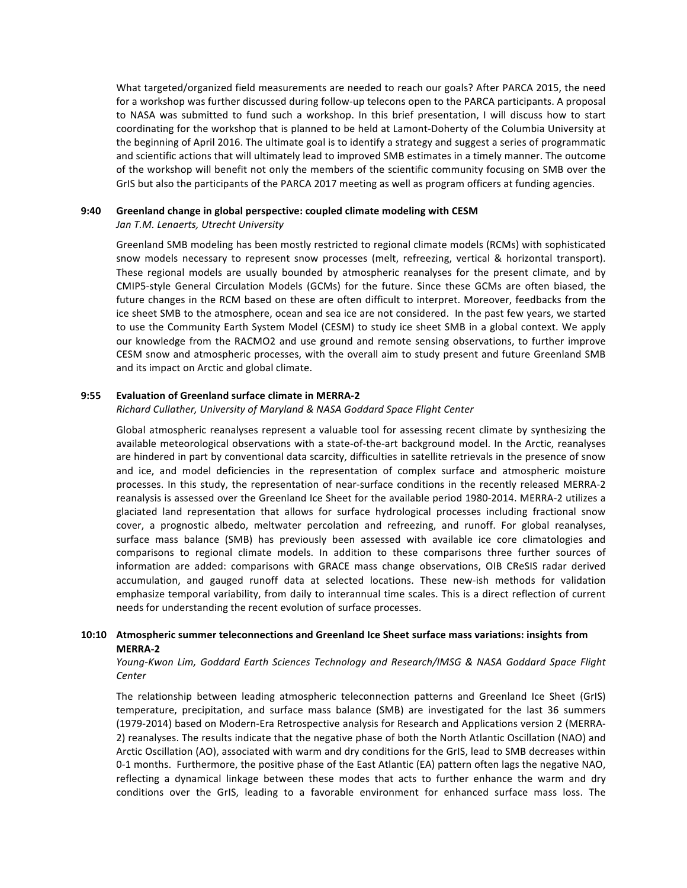What targeted/organized field measurements are needed to reach our goals? After PARCA 2015, the need for a workshop was further discussed during follow-up telecons open to the PARCA participants. A proposal to NASA was submitted to fund such a workshop. In this brief presentation, I will discuss how to start coordinating for the workshop that is planned to be held at Lamont-Doherty of the Columbia University at the beginning of April 2016. The ultimate goal is to identify a strategy and suggest a series of programmatic and scientific actions that will ultimately lead to improved SMB estimates in a timely manner. The outcome of the workshop will benefit not only the members of the scientific community focusing on SMB over the GrIS but also the participants of the PARCA 2017 meeting as well as program officers at funding agencies.

### **9:40 Greenland change in global perspective: coupled climate modeling with CESM**

## Jan T.M. Lenaerts, Utrecht University

Greenland SMB modeling has been mostly restricted to regional climate models (RCMs) with sophisticated snow models necessary to represent snow processes (melt, refreezing, vertical & horizontal transport). These regional models are usually bounded by atmospheric reanalyses for the present climate, and by CMIP5-style General Circulation Models (GCMs) for the future. Since these GCMs are often biased, the future changes in the RCM based on these are often difficult to interpret. Moreover, feedbacks from the ice sheet SMB to the atmosphere, ocean and sea ice are not considered. In the past few years, we started to use the Community Earth System Model (CESM) to study ice sheet SMB in a global context. We apply our knowledge from the RACMO2 and use ground and remote sensing observations, to further improve CESM snow and atmospheric processes, with the overall aim to study present and future Greenland SMB and its impact on Arctic and global climate.

## **9:55 Evaluation of Greenland surface climate in MERRA-2**

## *Richard Cullather, University of Maryland & NASA Goddard Space Flight Center*

Global atmospheric reanalyses represent a valuable tool for assessing recent climate by synthesizing the available meteorological observations with a state-of-the-art background model. In the Arctic, reanalyses are hindered in part by conventional data scarcity, difficulties in satellite retrievals in the presence of snow and ice, and model deficiencies in the representation of complex surface and atmospheric moisture processes. In this study, the representation of near-surface conditions in the recently released MERRA-2 reanalysis is assessed over the Greenland Ice Sheet for the available period 1980-2014. MERRA-2 utilizes a glaciated land representation that allows for surface hydrological processes including fractional snow cover, a prognostic albedo, meltwater percolation and refreezing, and runoff. For global reanalyses, surface mass balance (SMB) has previously been assessed with available ice core climatologies and comparisons to regional climate models. In addition to these comparisons three further sources of information are added: comparisons with GRACE mass change observations, OIB CReSIS radar derived accumulation, and gauged runoff data at selected locations. These new-ish methods for validation emphasize temporal variability, from daily to interannual time scales. This is a direct reflection of current needs for understanding the recent evolution of surface processes.

## **10:10** Atmospheric summer teleconnections and Greenland Ice Sheet surface mass variations: insights from **MERRA-2**

## *Young-Kwon Lim, Goddard Earth Sciences Technology and Research/IMSG & NASA Goddard Space Flight Center*

The relationship between leading atmospheric teleconnection patterns and Greenland Ice Sheet (GrIS) temperature, precipitation, and surface mass balance (SMB) are investigated for the last 36 summers (1979-2014) based on Modern-Era Retrospective analysis for Research and Applications version 2 (MERRA-2) reanalyses. The results indicate that the negative phase of both the North Atlantic Oscillation (NAO) and Arctic Oscillation (AO), associated with warm and dry conditions for the GrIS, lead to SMB decreases within 0-1 months. Furthermore, the positive phase of the East Atlantic (EA) pattern often lags the negative NAO, reflecting a dynamical linkage between these modes that acts to further enhance the warm and dry conditions over the GrIS, leading to a favorable environment for enhanced surface mass loss. The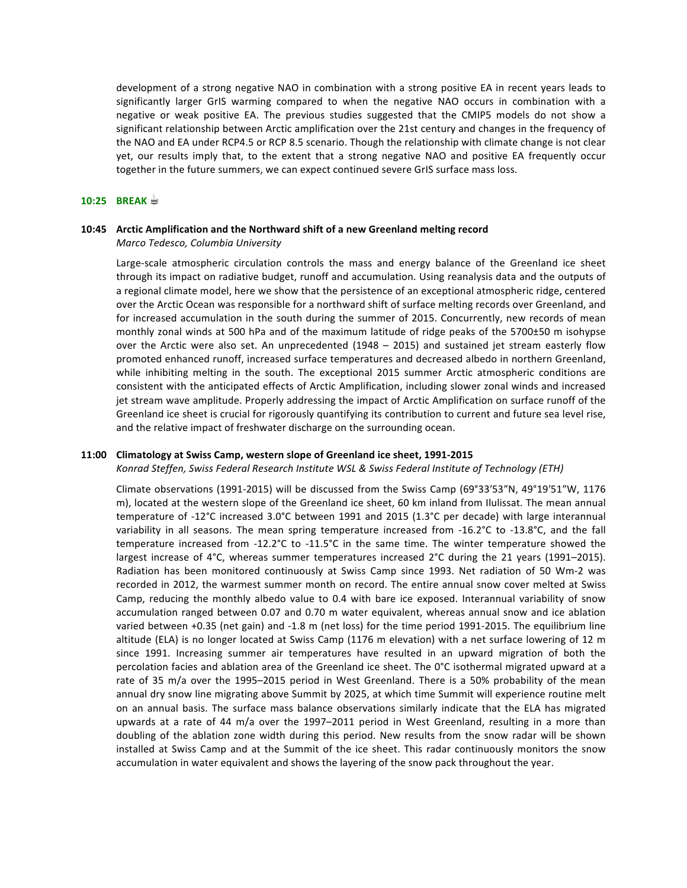development of a strong negative NAO in combination with a strong positive EA in recent years leads to significantly larger GrIS warming compared to when the negative NAO occurs in combination with a negative or weak positive EA. The previous studies suggested that the CMIP5 models do not show a significant relationship between Arctic amplification over the 21st century and changes in the frequency of the NAO and EA under RCP4.5 or RCP 8.5 scenario. Though the relationship with climate change is not clear yet, our results imply that, to the extent that a strong negative NAO and positive EA frequently occur together in the future summers, we can expect continued severe GrIS surface mass loss.

### **10:25 BREAK ☕**

## **10:45** Arctic Amplification and the Northward shift of a new Greenland melting record *Marco Tedesco, Columbia University*

Large-scale atmospheric circulation controls the mass and energy balance of the Greenland ice sheet through its impact on radiative budget, runoff and accumulation. Using reanalysis data and the outputs of a regional climate model, here we show that the persistence of an exceptional atmospheric ridge, centered over the Arctic Ocean was responsible for a northward shift of surface melting records over Greenland, and for increased accumulation in the south during the summer of 2015. Concurrently, new records of mean monthly zonal winds at 500 hPa and of the maximum latitude of ridge peaks of the 5700±50 m isohypse over the Arctic were also set. An unprecedented  $(1948 - 2015)$  and sustained jet stream easterly flow promoted enhanced runoff, increased surface temperatures and decreased albedo in northern Greenland, while inhibiting melting in the south. The exceptional 2015 summer Arctic atmospheric conditions are consistent with the anticipated effects of Arctic Amplification, including slower zonal winds and increased jet stream wave amplitude. Properly addressing the impact of Arctic Amplification on surface runoff of the Greenland ice sheet is crucial for rigorously quantifying its contribution to current and future sea level rise, and the relative impact of freshwater discharge on the surrounding ocean.

## **11:00 Climatology at Swiss Camp, western slope of Greenland ice sheet, 1991-2015**

## Konrad Steffen, Swiss Federal Research Institute WSL & Swiss Federal Institute of Technology (ETH)

Climate observations (1991-2015) will be discussed from the Swiss Camp (69°33'53"N, 49°19'51"W, 1176 m), located at the western slope of the Greenland ice sheet, 60 km inland from Ilulissat. The mean annual temperature of -12°C increased 3.0°C between 1991 and 2015 (1.3°C per decade) with large interannual variability in all seasons. The mean spring temperature increased from -16.2°C to -13.8°C, and the fall temperature increased from  $-12.2^{\circ}C$  to  $-11.5^{\circ}C$  in the same time. The winter temperature showed the largest increase of  $4^{\circ}$ C, whereas summer temperatures increased  $2^{\circ}$ C during the 21 years (1991–2015). Radiation has been monitored continuously at Swiss Camp since 1993. Net radiation of 50 Wm-2 was recorded in 2012, the warmest summer month on record. The entire annual snow cover melted at Swiss Camp, reducing the monthly albedo value to 0.4 with bare ice exposed. Interannual variability of snow accumulation ranged between 0.07 and 0.70 m water equivalent, whereas annual snow and ice ablation varied between +0.35 (net gain) and -1.8 m (net loss) for the time period 1991-2015. The equilibrium line altitude (ELA) is no longer located at Swiss Camp (1176 m elevation) with a net surface lowering of 12 m since 1991. Increasing summer air temperatures have resulted in an upward migration of both the percolation facies and ablation area of the Greenland ice sheet. The 0°C isothermal migrated upward at a rate of 35 m/a over the 1995–2015 period in West Greenland. There is a 50% probability of the mean annual dry snow line migrating above Summit by 2025, at which time Summit will experience routine melt on an annual basis. The surface mass balance observations similarly indicate that the ELA has migrated upwards at a rate of 44 m/a over the 1997–2011 period in West Greenland, resulting in a more than doubling of the ablation zone width during this period. New results from the snow radar will be shown installed at Swiss Camp and at the Summit of the ice sheet. This radar continuously monitors the snow accumulation in water equivalent and shows the layering of the snow pack throughout the year.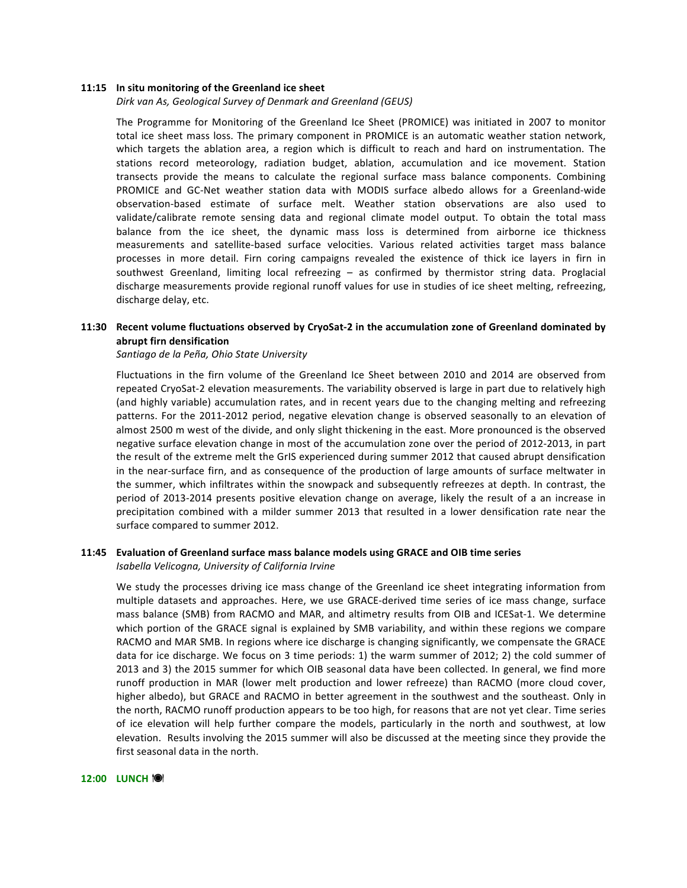#### **11:15** In situ monitoring of the Greenland ice sheet

Dirk van As, Geological Survey of Denmark and Greenland (GEUS)

The Programme for Monitoring of the Greenland Ice Sheet (PROMICE) was initiated in 2007 to monitor total ice sheet mass loss. The primary component in PROMICE is an automatic weather station network, which targets the ablation area, a region which is difficult to reach and hard on instrumentation. The stations record meteorology, radiation budget, ablation, accumulation and ice movement. Station transects provide the means to calculate the regional surface mass balance components. Combining PROMICE and GC-Net weather station data with MODIS surface albedo allows for a Greenland-wide observation-based estimate of surface melt. Weather station observations are also used to validate/calibrate remote sensing data and regional climate model output. To obtain the total mass balance from the ice sheet, the dynamic mass loss is determined from airborne ice thickness measurements and satellite-based surface velocities. Various related activities target mass balance processes in more detail. Firn coring campaigns revealed the existence of thick ice layers in firn in southwest Greenland, limiting local refreezing - as confirmed by thermistor string data. Proglacial discharge measurements provide regional runoff values for use in studies of ice sheet melting, refreezing, discharge delay, etc.

## **11:30** Recent volume fluctuations observed by CryoSat-2 in the accumulation zone of Greenland dominated by **abrupt firn densification**

*Santiago de la Peña, Ohio State University*

Fluctuations in the firn volume of the Greenland Ice Sheet between 2010 and 2014 are observed from repeated CryoSat-2 elevation measurements. The variability observed is large in part due to relatively high (and highly variable) accumulation rates, and in recent years due to the changing melting and refreezing patterns. For the 2011-2012 period, negative elevation change is observed seasonally to an elevation of almost 2500 m west of the divide, and only slight thickening in the east. More pronounced is the observed negative surface elevation change in most of the accumulation zone over the period of 2012-2013, in part the result of the extreme melt the GrIS experienced during summer 2012 that caused abrupt densification in the near-surface firn, and as consequence of the production of large amounts of surface meltwater in the summer, which infiltrates within the snowpack and subsequently refreezes at depth. In contrast, the period of 2013-2014 presents positive elevation change on average, likely the result of a an increase in precipitation combined with a milder summer 2013 that resulted in a lower densification rate near the surface compared to summer 2012.

## **11:45** Evaluation of Greenland surface mass balance models using GRACE and OIB time series *Isabella Velicogna, University of California Irvine*

We study the processes driving ice mass change of the Greenland ice sheet integrating information from multiple datasets and approaches. Here, we use GRACE-derived time series of ice mass change, surface mass balance (SMB) from RACMO and MAR, and altimetry results from OIB and ICESat-1. We determine which portion of the GRACE signal is explained by SMB variability, and within these regions we compare RACMO and MAR SMB. In regions where ice discharge is changing significantly, we compensate the GRACE data for ice discharge. We focus on 3 time periods: 1) the warm summer of 2012; 2) the cold summer of 2013 and 3) the 2015 summer for which OIB seasonal data have been collected. In general, we find more runoff production in MAR (lower melt production and lower refreeze) than RACMO (more cloud cover, higher albedo), but GRACE and RACMO in better agreement in the southwest and the southeast. Only in the north, RACMO runoff production appears to be too high, for reasons that are not yet clear. Time series of ice elevation will help further compare the models, particularly in the north and southwest, at low elevation. Results involving the 2015 summer will also be discussed at the meeting since they provide the first seasonal data in the north.

#### **12:00 LUNCH** !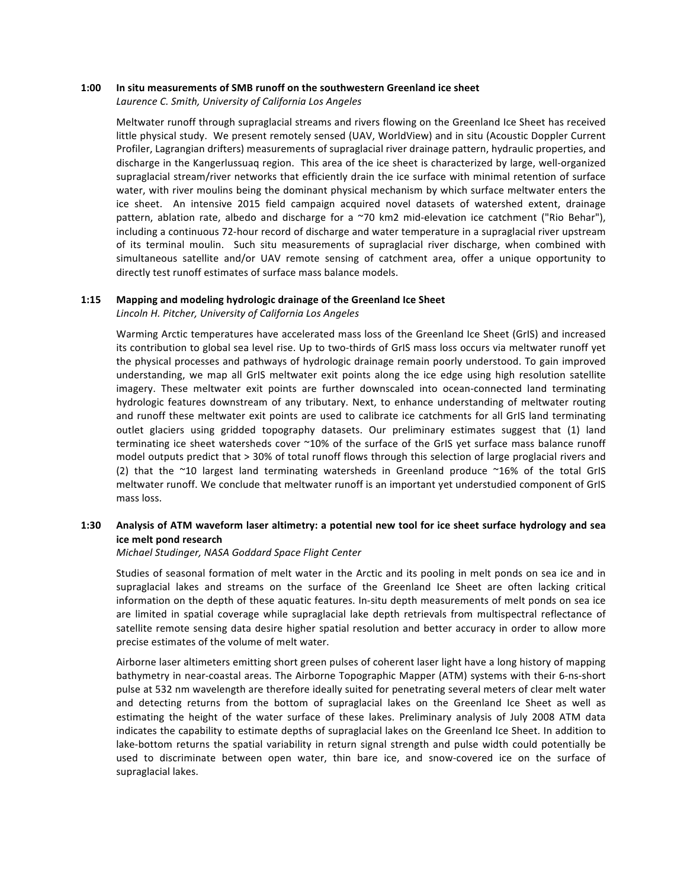### **1:00** In situ measurements of SMB runoff on the southwestern Greenland ice sheet

Laurence C. Smith, University of California Los Angeles

Meltwater runoff through supraglacial streams and rivers flowing on the Greenland Ice Sheet has received little physical study. We present remotely sensed (UAV, WorldView) and in situ (Acoustic Doppler Current Profiler, Lagrangian drifters) measurements of supraglacial river drainage pattern, hydraulic properties, and discharge in the Kangerlussuaq region. This area of the ice sheet is characterized by large, well-organized supraglacial stream/river networks that efficiently drain the ice surface with minimal retention of surface water, with river moulins being the dominant physical mechanism by which surface meltwater enters the ice sheet. An intensive 2015 field campaign acquired novel datasets of watershed extent, drainage pattern, ablation rate, albedo and discharge for a  $\sim$ 70 km2 mid-elevation ice catchment ("Rio Behar"), including a continuous 72-hour record of discharge and water temperature in a supraglacial river upstream of its terminal moulin. Such situ measurements of supraglacial river discharge, when combined with simultaneous satellite and/or UAV remote sensing of catchment area, offer a unique opportunity to directly test runoff estimates of surface mass balance models.

## **1:15** Mapping and modeling hydrologic drainage of the Greenland Ice Sheet

*Lincoln H. Pitcher, University of California Los Angeles*

Warming Arctic temperatures have accelerated mass loss of the Greenland Ice Sheet (GrIS) and increased its contribution to global sea level rise. Up to two-thirds of GrIS mass loss occurs via meltwater runoff yet the physical processes and pathways of hydrologic drainage remain poorly understood. To gain improved understanding, we map all GrIS meltwater exit points along the ice edge using high resolution satellite imagery. These meltwater exit points are further downscaled into ocean-connected land terminating hydrologic features downstream of any tributary. Next, to enhance understanding of meltwater routing and runoff these meltwater exit points are used to calibrate ice catchments for all GrIS land terminating outlet glaciers using gridded topography datasets. Our preliminary estimates suggest that (1) land terminating ice sheet watersheds cover  $^{\sim}10\%$  of the surface of the GrIS yet surface mass balance runoff model outputs predict that > 30% of total runoff flows through this selection of large proglacial rivers and (2) that the  $\sim$ 10 largest land terminating watersheds in Greenland produce  $\sim$ 16% of the total GrIS meltwater runoff. We conclude that meltwater runoff is an important yet understudied component of GrIS mass loss.

## **1:30 Analysis of ATM waveform laser altimetry: a potential new tool for ice sheet surface hydrology and sea ice melt pond research**

*Michael Studinger, NASA Goddard Space Flight Center*

Studies of seasonal formation of melt water in the Arctic and its pooling in melt ponds on sea ice and in supraglacial lakes and streams on the surface of the Greenland Ice Sheet are often lacking critical information on the depth of these aquatic features. In-situ depth measurements of melt ponds on sea ice are limited in spatial coverage while supraglacial lake depth retrievals from multispectral reflectance of satellite remote sensing data desire higher spatial resolution and better accuracy in order to allow more precise estimates of the volume of melt water.

Airborne laser altimeters emitting short green pulses of coherent laser light have a long history of mapping bathymetry in near-coastal areas. The Airborne Topographic Mapper (ATM) systems with their 6-ns-short pulse at 532 nm wavelength are therefore ideally suited for penetrating several meters of clear melt water and detecting returns from the bottom of supraglacial lakes on the Greenland Ice Sheet as well as estimating the height of the water surface of these lakes. Preliminary analysis of July 2008 ATM data indicates the capability to estimate depths of supraglacial lakes on the Greenland Ice Sheet. In addition to lake-bottom returns the spatial variability in return signal strength and pulse width could potentially be used to discriminate between open water, thin bare ice, and snow-covered ice on the surface of supraglacial lakes.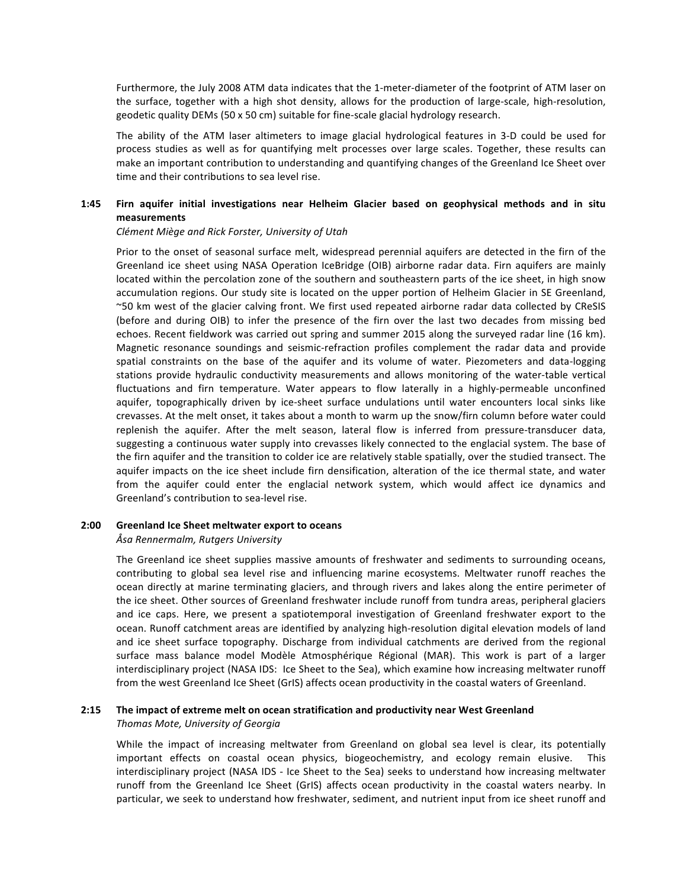Furthermore, the July 2008 ATM data indicates that the 1-meter-diameter of the footprint of ATM laser on the surface, together with a high shot density, allows for the production of large-scale, high-resolution, geodetic quality DEMs  $(50 \times 50 \text{ cm})$  suitable for fine-scale glacial hydrology research.

The ability of the ATM laser altimeters to image glacial hydrological features in 3-D could be used for process studies as well as for quantifying melt processes over large scales. Together, these results can make an important contribution to understanding and quantifying changes of the Greenland Ice Sheet over time and their contributions to sea level rise.

## 1:45 Firn aquifer initial investigations near Helheim Glacier based on geophysical methods and in situ **measurements**

### *Clément Miège and Rick Forster, University of Utah*

Prior to the onset of seasonal surface melt, widespread perennial aquifers are detected in the firn of the Greenland ice sheet using NASA Operation IceBridge (OIB) airborne radar data. Firn aquifers are mainly located within the percolation zone of the southern and southeastern parts of the ice sheet, in high snow accumulation regions. Our study site is located on the upper portion of Helheim Glacier in SE Greenland, ~50 km west of the glacier calving front. We first used repeated airborne radar data collected by CReSIS (before and during OIB) to infer the presence of the firn over the last two decades from missing bed echoes. Recent fieldwork was carried out spring and summer 2015 along the surveyed radar line (16 km). Magnetic resonance soundings and seismic-refraction profiles complement the radar data and provide spatial constraints on the base of the aquifer and its volume of water. Piezometers and data-logging stations provide hydraulic conductivity measurements and allows monitoring of the water-table vertical fluctuations and firn temperature. Water appears to flow laterally in a highly-permeable unconfined aquifer, topographically driven by ice-sheet surface undulations until water encounters local sinks like crevasses. At the melt onset, it takes about a month to warm up the snow/firn column before water could replenish the aquifer. After the melt season, lateral flow is inferred from pressure-transducer data, suggesting a continuous water supply into crevasses likely connected to the englacial system. The base of the firn aquifer and the transition to colder ice are relatively stable spatially, over the studied transect. The aquifer impacts on the ice sheet include firn densification, alteration of the ice thermal state, and water from the aquifer could enter the englacial network system, which would affect ice dynamics and Greenland's contribution to sea-level rise.

## **2:00 Greenland Ice Sheet meltwater export to oceans**

## *Åsa Rennermalm, Rutgers University*

The Greenland ice sheet supplies massive amounts of freshwater and sediments to surrounding oceans, contributing to global sea level rise and influencing marine ecosystems. Meltwater runoff reaches the ocean directly at marine terminating glaciers, and through rivers and lakes along the entire perimeter of the ice sheet. Other sources of Greenland freshwater include runoff from tundra areas, peripheral glaciers and ice caps. Here, we present a spatiotemporal investigation of Greenland freshwater export to the ocean. Runoff catchment areas are identified by analyzing high-resolution digital elevation models of land and ice sheet surface topography. Discharge from individual catchments are derived from the regional surface mass balance model Modèle Atmosphérique Régional (MAR). This work is part of a larger interdisciplinary project (NASA IDS: Ice Sheet to the Sea), which examine how increasing meltwater runoff from the west Greenland Ice Sheet (GrIS) affects ocean productivity in the coastal waters of Greenland.

## **2:15** The impact of extreme melt on ocean stratification and productivity near West Greenland *Thomas Mote, University of Georgia*

While the impact of increasing meltwater from Greenland on global sea level is clear, its potentially important effects on coastal ocean physics, biogeochemistry, and ecology remain elusive. This interdisciplinary project (NASA IDS - Ice Sheet to the Sea) seeks to understand how increasing meltwater runoff from the Greenland Ice Sheet (GrIS) affects ocean productivity in the coastal waters nearby. In particular, we seek to understand how freshwater, sediment, and nutrient input from ice sheet runoff and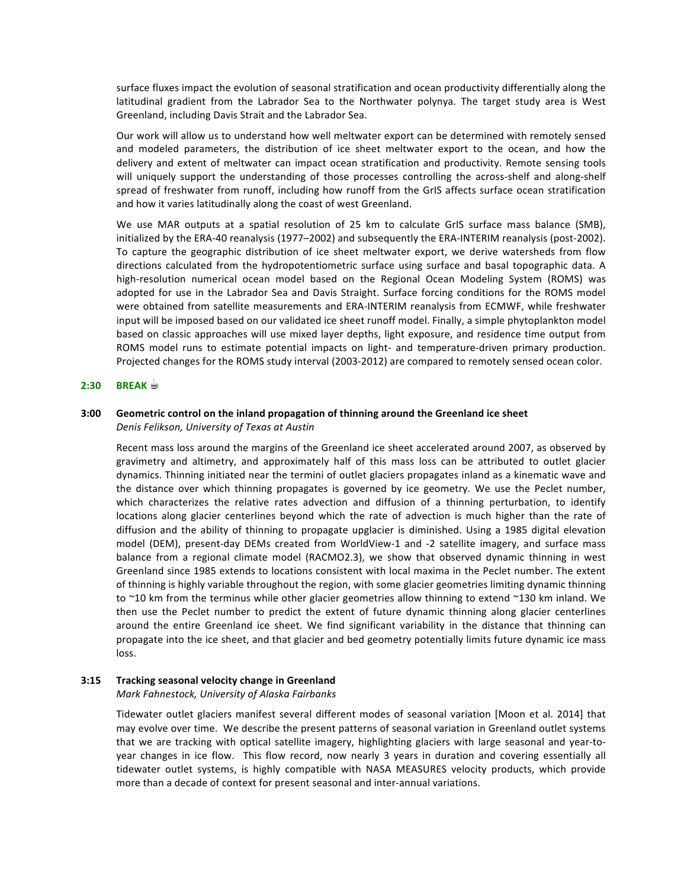surface fluxes impact the evolution of seasonal stratification and ocean productivity differentially along the latitudinal gradient from the Labrador Sea to the Northwater polynya. The target study area is West Greenland, including Davis Strait and the Labrador Sea.

Our work will allow us to understand how well meltwater export can be determined with remotely sensed and modeled parameters, the distribution of ice sheet meltwater export to the ocean, and how the delivery and extent of meltwater can impact ocean stratification and productivity. Remote sensing tools will uniquely support the understanding of those processes controlling the across-shelf and along-shelf spread of freshwater from runoff, including how runoff from the GrIS affects surface ocean stratification and how it varies latitudinally along the coast of west Greenland.

We use MAR outputs at a spatial resolution of 25 km to calculate GrIS surface mass balance (SMB), initialized by the ERA-40 reanalysis (1977–2002) and subsequently the ERA-INTERIM reanalysis (post-2002). To capture the geographic distribution of ice sheet meltwater export, we derive watersheds from flow directions calculated from the hydropotentiometric surface using surface and basal topographic data. A high-resolution numerical ocean model based on the Regional Ocean Modeling System (ROMS) was adopted for use in the Labrador Sea and Davis Straight. Surface forcing conditions for the ROMS model were obtained from satellite measurements and ERA-INTERIM reanalysis from ECMWF, while freshwater input will be imposed based on our validated ice sheet runoff model. Finally, a simple phytoplankton model based on classic approaches will use mixed layer depths, light exposure, and residence time output from ROMS model runs to estimate potential impacts on light- and temperature-driven primary production. Projected changes for the ROMS study interval (2003-2012) are compared to remotely sensed ocean color.

## **2:30 BREAK ☕**

## **3:00** Geometric control on the inland propagation of thinning around the Greenland ice sheet *Denis Felikson, University of Texas at Austin*

Recent mass loss around the margins of the Greenland ice sheet accelerated around 2007, as observed by gravimetry and altimetry, and approximately half of this mass loss can be attributed to outlet glacier dynamics. Thinning initiated near the termini of outlet glaciers propagates inland as a kinematic wave and the distance over which thinning propagates is governed by ice geometry. We use the Peclet number, which characterizes the relative rates advection and diffusion of a thinning perturbation, to identify locations along glacier centerlines beyond which the rate of advection is much higher than the rate of diffusion and the ability of thinning to propagate upglacier is diminished. Using a 1985 digital elevation model (DEM), present-day DEMs created from WorldView-1 and -2 satellite imagery, and surface mass balance from a regional climate model (RACMO2.3), we show that observed dynamic thinning in west Greenland since 1985 extends to locations consistent with local maxima in the Peclet number. The extent of thinning is highly variable throughout the region, with some glacier geometries limiting dynamic thinning to ~10 km from the terminus while other glacier geometries allow thinning to extend ~130 km inland. We then use the Peclet number to predict the extent of future dynamic thinning along glacier centerlines around the entire Greenland ice sheet. We find significant variability in the distance that thinning can propagate into the ice sheet, and that glacier and bed geometry potentially limits future dynamic ice mass loss.

## **3:15 Tracking seasonal velocity change in Greenland**

## *Mark Fahnestock, University of Alaska Fairbanks*

Tidewater outlet glaciers manifest several different modes of seasonal variation [Moon et al. 2014] that may evolve over time. We describe the present patterns of seasonal variation in Greenland outlet systems that we are tracking with optical satellite imagery, highlighting glaciers with large seasonal and year-toyear changes in ice flow. This flow record, now nearly 3 years in duration and covering essentially all tidewater outlet systems, is highly compatible with NASA MEASURES velocity products, which provide more than a decade of context for present seasonal and inter-annual variations.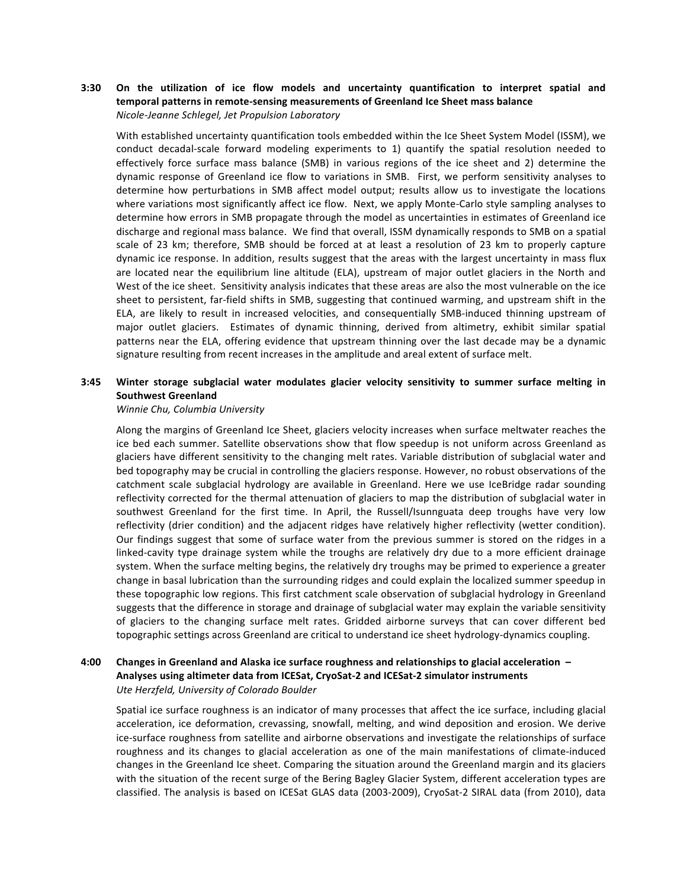## **3:30** On the utilization of ice flow models and uncertainty quantification to interpret spatial and temporal patterns in remote-sensing measurements of Greenland Ice Sheet mass balance *Nicole-Jeanne Schlegel, Jet Propulsion Laboratory*

With established uncertainty quantification tools embedded within the Ice Sheet System Model (ISSM), we conduct decadal-scale forward modeling experiments to 1) quantify the spatial resolution needed to effectively force surface mass balance (SMB) in various regions of the ice sheet and 2) determine the dynamic response of Greenland ice flow to variations in SMB. First, we perform sensitivity analyses to determine how perturbations in SMB affect model output; results allow us to investigate the locations where variations most significantly affect ice flow. Next, we apply Monte-Carlo style sampling analyses to determine how errors in SMB propagate through the model as uncertainties in estimates of Greenland ice discharge and regional mass balance. We find that overall, ISSM dynamically responds to SMB on a spatial scale of 23 km; therefore, SMB should be forced at at least a resolution of 23 km to properly capture dynamic ice response. In addition, results suggest that the areas with the largest uncertainty in mass flux are located near the equilibrium line altitude (ELA), upstream of major outlet glaciers in the North and West of the ice sheet. Sensitivity analysis indicates that these areas are also the most vulnerable on the ice sheet to persistent, far-field shifts in SMB, suggesting that continued warming, and upstream shift in the ELA, are likely to result in increased velocities, and consequentially SMB-induced thinning upstream of major outlet glaciers. Estimates of dynamic thinning, derived from altimetry, exhibit similar spatial patterns near the ELA, offering evidence that upstream thinning over the last decade may be a dynamic signature resulting from recent increases in the amplitude and areal extent of surface melt.

## **3:45** Winter storage subglacial water modulates glacier velocity sensitivity to summer surface melting in **Southwest Greenland**

#### *Winnie Chu, Columbia University*

Along the margins of Greenland Ice Sheet, glaciers velocity increases when surface meltwater reaches the ice bed each summer. Satellite observations show that flow speedup is not uniform across Greenland as glaciers have different sensitivity to the changing melt rates. Variable distribution of subglacial water and bed topography may be crucial in controlling the glaciers response. However, no robust observations of the catchment scale subglacial hydrology are available in Greenland. Here we use IceBridge radar sounding reflectivity corrected for the thermal attenuation of glaciers to map the distribution of subglacial water in southwest Greenland for the first time. In April, the Russell/Isunnguata deep troughs have very low reflectivity (drier condition) and the adjacent ridges have relatively higher reflectivity (wetter condition). Our findings suggest that some of surface water from the previous summer is stored on the ridges in a linked-cavity type drainage system while the troughs are relatively dry due to a more efficient drainage system. When the surface melting begins, the relatively dry troughs may be primed to experience a greater change in basal lubrication than the surrounding ridges and could explain the localized summer speedup in these topographic low regions. This first catchment scale observation of subglacial hydrology in Greenland suggests that the difference in storage and drainage of subglacial water may explain the variable sensitivity of glaciers to the changing surface melt rates. Gridded airborne surveys that can cover different bed topographic settings across Greenland are critical to understand ice sheet hydrology-dynamics coupling.

## **4:00 Changes in Greenland and Alaska ice surface roughness and relationships to glacial acceleration –** Analyses using altimeter data from ICESat, CryoSat-2 and ICESat-2 simulator instruments **Ute Herzfeld, University of Colorado Boulder**

Spatial ice surface roughness is an indicator of many processes that affect the ice surface, including glacial acceleration, ice deformation, crevassing, snowfall, melting, and wind deposition and erosion. We derive ice-surface roughness from satellite and airborne observations and investigate the relationships of surface roughness and its changes to glacial acceleration as one of the main manifestations of climate-induced changes in the Greenland Ice sheet. Comparing the situation around the Greenland margin and its glaciers with the situation of the recent surge of the Bering Bagley Glacier System, different acceleration types are classified. The analysis is based on ICESat GLAS data (2003-2009), CryoSat-2 SIRAL data (from 2010), data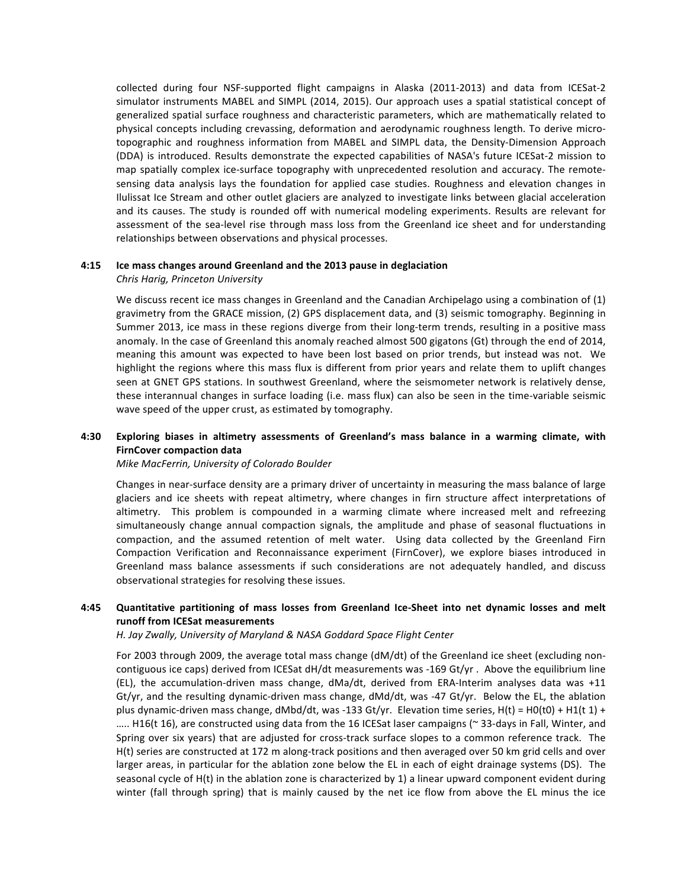collected during four NSF-supported flight campaigns in Alaska (2011-2013) and data from ICESat-2 simulator instruments MABEL and SIMPL (2014, 2015). Our approach uses a spatial statistical concept of generalized spatial surface roughness and characteristic parameters, which are mathematically related to physical concepts including crevassing, deformation and aerodynamic roughness length. To derive microtopographic and roughness information from MABEL and SIMPL data, the Density-Dimension Approach (DDA) is introduced. Results demonstrate the expected capabilities of NASA's future ICESat-2 mission to map spatially complex ice-surface topography with unprecedented resolution and accuracy. The remotesensing data analysis lays the foundation for applied case studies. Roughness and elevation changes in Ilulissat Ice Stream and other outlet glaciers are analyzed to investigate links between glacial acceleration and its causes. The study is rounded off with numerical modeling experiments. Results are relevant for assessment of the sea-level rise through mass loss from the Greenland ice sheet and for understanding relationships between observations and physical processes.

## **4:15 Ice mass changes around Greenland and the 2013 pause in deglaciation**

### *Chris Harig, Princeton University*

We discuss recent ice mass changes in Greenland and the Canadian Archipelago using a combination of (1) gravimetry from the GRACE mission, (2) GPS displacement data, and (3) seismic tomography. Beginning in Summer 2013, ice mass in these regions diverge from their long-term trends, resulting in a positive mass anomaly. In the case of Greenland this anomaly reached almost 500 gigatons (Gt) through the end of 2014, meaning this amount was expected to have been lost based on prior trends, but instead was not. We highlight the regions where this mass flux is different from prior years and relate them to uplift changes seen at GNET GPS stations. In southwest Greenland, where the seismometer network is relatively dense, these interannual changes in surface loading (i.e. mass flux) can also be seen in the time-variable seismic wave speed of the upper crust, as estimated by tomography.

## 4:30 Exploring biases in altimetry assessments of Greenland's mass balance in a warming climate, with **FirnCover compaction data**

*Mike MacFerrin, University of Colorado Boulder*

Changes in near-surface density are a primary driver of uncertainty in measuring the mass balance of large glaciers and ice sheets with repeat altimetry, where changes in firn structure affect interpretations of altimetry. This problem is compounded in a warming climate where increased melt and refreezing simultaneously change annual compaction signals, the amplitude and phase of seasonal fluctuations in compaction, and the assumed retention of melt water. Using data collected by the Greenland Firn Compaction Verification and Reconnaissance experiment (FirnCover), we explore biases introduced in Greenland mass balance assessments if such considerations are not adequately handled, and discuss observational strategies for resolving these issues.

## **4:45 Quantitative partitioning of mass losses from Greenland Ice-Sheet into net dynamic losses and melt runoff from ICESat measurements**

H. Jay Zwally, University of Maryland & NASA Goddard Space Flight Center

For 2003 through 2009, the average total mass change (dM/dt) of the Greenland ice sheet (excluding noncontiguous ice caps) derived from ICESat  $dH/dt$  measurements was -169 Gt/yr. Above the equilibrium line (EL), the accumulation-driven mass change,  $dMa/dt$ , derived from ERA-Interim analyses data was +11 Gt/yr, and the resulting dynamic-driven mass change, dMd/dt, was -47 Gt/yr. Below the EL, the ablation plus dynamic-driven mass change,  $dMbd/dt$ , was -133 Gt/yr. Elevation time series,  $H(t) = H0(t0) + H1(t 1) +$ ….. H16(t 16), are constructed using data from the 16 ICESat laser campaigns (∼ 33-days in Fall, Winter, and Spring over six years) that are adjusted for cross-track surface slopes to a common reference track. The H(t) series are constructed at 172 m along-track positions and then averaged over 50 km grid cells and over larger areas, in particular for the ablation zone below the EL in each of eight drainage systems (DS). The seasonal cycle of  $H(t)$  in the ablation zone is characterized by 1) a linear upward component evident during winter (fall through spring) that is mainly caused by the net ice flow from above the EL minus the ice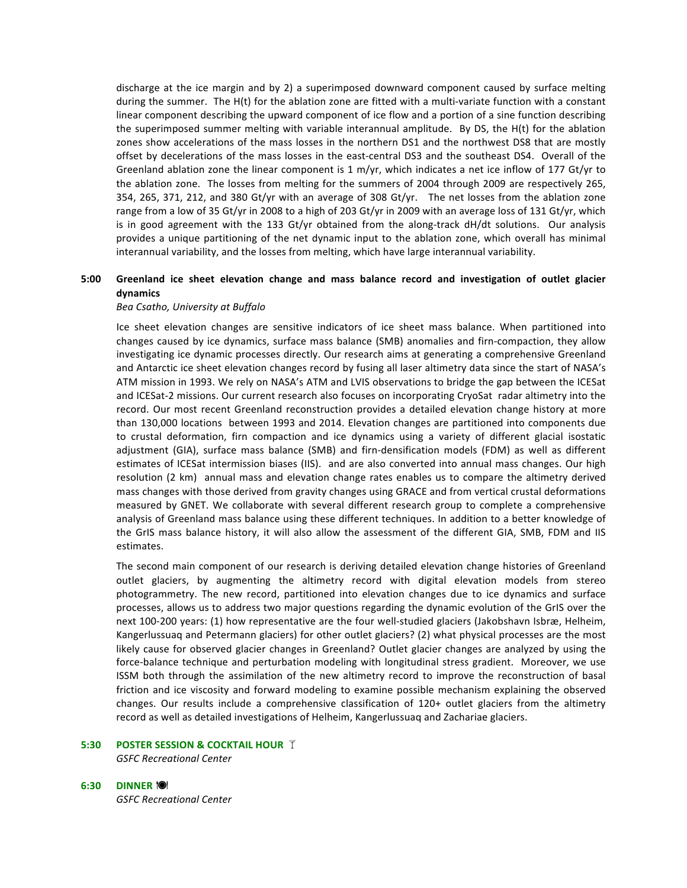discharge at the ice margin and by 2) a superimposed downward component caused by surface melting during the summer. The H(t) for the ablation zone are fitted with a multi-variate function with a constant linear component describing the upward component of ice flow and a portion of a sine function describing the superimposed summer melting with variable interannual amplitude. By DS, the  $H(t)$  for the ablation zones show accelerations of the mass losses in the northern DS1 and the northwest DS8 that are mostly offset by decelerations of the mass losses in the east-central DS3 and the southeast DS4. Overall of the Greenland ablation zone the linear component is 1 m/yr, which indicates a net ice inflow of 177 Gt/yr to the ablation zone. The losses from melting for the summers of 2004 through 2009 are respectively 265, 354, 265, 371, 212, and 380 Gt/yr with an average of 308 Gt/yr. The net losses from the ablation zone range from a low of 35 Gt/yr in 2008 to a high of 203 Gt/yr in 2009 with an average loss of 131 Gt/yr, which is in good agreement with the 133 Gt/yr obtained from the along-track dH/dt solutions. Our analysis provides a unique partitioning of the net dynamic input to the ablation zone, which overall has minimal interannual variability, and the losses from melting, which have large interannual variability.

## 5:00 Greenland ice sheet elevation change and mass balance record and investigation of outlet glacier **dynamics**

## *Bea Csatho, University at Buffalo*

Ice sheet elevation changes are sensitive indicators of ice sheet mass balance. When partitioned into changes caused by ice dynamics, surface mass balance (SMB) anomalies and firn-compaction, they allow investigating ice dynamic processes directly. Our research aims at generating a comprehensive Greenland and Antarctic ice sheet elevation changes record by fusing all laser altimetry data since the start of NASA's ATM mission in 1993. We rely on NASA's ATM and LVIS observations to bridge the gap between the ICESat and ICESat-2 missions. Our current research also focuses on incorporating CryoSat radar altimetry into the record. Our most recent Greenland reconstruction provides a detailed elevation change history at more than 130,000 locations between 1993 and 2014. Elevation changes are partitioned into components due to crustal deformation, firn compaction and ice dynamics using a variety of different glacial isostatic adjustment (GIA), surface mass balance (SMB) and firn-densification models (FDM) as well as different estimates of ICESat intermission biases (IIS). and are also converted into annual mass changes. Our high resolution (2 km) annual mass and elevation change rates enables us to compare the altimetry derived mass changes with those derived from gravity changes using GRACE and from vertical crustal deformations measured by GNET. We collaborate with several different research group to complete a comprehensive analysis of Greenland mass balance using these different techniques. In addition to a better knowledge of the GrIS mass balance history, it will also allow the assessment of the different GIA, SMB, FDM and IIS estimates. 

The second main component of our research is deriving detailed elevation change histories of Greenland outlet glaciers, by augmenting the altimetry record with digital elevation models from stereo photogrammetry. The new record, partitioned into elevation changes due to ice dynamics and surface processes, allows us to address two major questions regarding the dynamic evolution of the GrIS over the next 100-200 years: (1) how representative are the four well-studied glaciers (Jakobshavn Isbræ, Helheim, Kangerlussuaq and Petermann glaciers) for other outlet glaciers? (2) what physical processes are the most likely cause for observed glacier changes in Greenland? Outlet glacier changes are analyzed by using the force-balance technique and perturbation modeling with longitudinal stress gradient. Moreover, we use ISSM both through the assimilation of the new altimetry record to improve the reconstruction of basal friction and ice viscosity and forward modeling to examine possible mechanism explaining the observed changes. Our results include a comprehensive classification of 120+ outlet glaciers from the altimetry record as well as detailed investigations of Helheim, Kangerlussuaq and Zachariae glaciers.

## **5:30 POSTER SESSION & COCKTAIL HOUR T**

*GSFC Recreational Center*

#### **6:30 DINNER** !

*GSFC Recreational Center*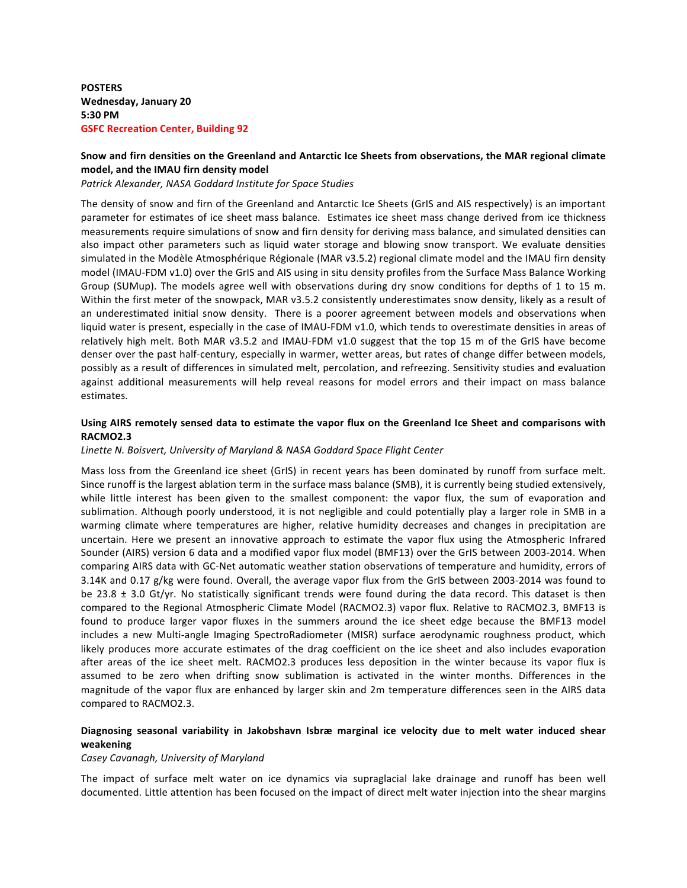**POSTERS Wednesday, January 20 5:30 PM GSFC Recreation Center, Building 92** 

## Snow and firn densities on the Greenland and Antarctic Ice Sheets from observations, the MAR regional climate model, and the IMAU firn density model

*Patrick Alexander, NASA Goddard Institute for Space Studies*

The density of snow and firn of the Greenland and Antarctic Ice Sheets (GrIS and AIS respectively) is an important parameter for estimates of ice sheet mass balance. Estimates ice sheet mass change derived from ice thickness measurements require simulations of snow and firn density for deriving mass balance, and simulated densities can also impact other parameters such as liquid water storage and blowing snow transport. We evaluate densities simulated in the Modèle Atmosphérique Régionale (MAR v3.5.2) regional climate model and the IMAU firn density model (IMAU-FDM v1.0) over the GrIS and AIS using in situ density profiles from the Surface Mass Balance Working Group (SUMup). The models agree well with observations during dry snow conditions for depths of 1 to 15 m. Within the first meter of the snowpack, MAR v3.5.2 consistently underestimates snow density, likely as a result of an underestimated initial snow density. There is a poorer agreement between models and observations when liquid water is present, especially in the case of IMAU-FDM v1.0, which tends to overestimate densities in areas of relatively high melt. Both MAR v3.5.2 and IMAU-FDM v1.0 suggest that the top 15 m of the GrIS have become denser over the past half-century, especially in warmer, wetter areas, but rates of change differ between models, possibly as a result of differences in simulated melt, percolation, and refreezing. Sensitivity studies and evaluation against additional measurements will help reveal reasons for model errors and their impact on mass balance estimates.

## Using AIRS remotely sensed data to estimate the vapor flux on the Greenland Ice Sheet and comparisons with **RACMO2.3**

## Linette N. Boisvert, University of Maryland & NASA Goddard Space Flight Center

Mass loss from the Greenland ice sheet (GrIS) in recent years has been dominated by runoff from surface melt. Since runoff is the largest ablation term in the surface mass balance (SMB), it is currently being studied extensively, while little interest has been given to the smallest component: the vapor flux, the sum of evaporation and sublimation. Although poorly understood, it is not negligible and could potentially play a larger role in SMB in a warming climate where temperatures are higher, relative humidity decreases and changes in precipitation are uncertain. Here we present an innovative approach to estimate the vapor flux using the Atmospheric Infrared Sounder (AIRS) version 6 data and a modified vapor flux model (BMF13) over the GrIS between 2003-2014. When comparing AIRS data with GC-Net automatic weather station observations of temperature and humidity, errors of 3.14K and 0.17 g/kg were found. Overall, the average vapor flux from the GrIS between 2003-2014 was found to be 23.8  $\pm$  3.0 Gt/yr. No statistically significant trends were found during the data record. This dataset is then compared to the Regional Atmospheric Climate Model (RACMO2.3) vapor flux. Relative to RACMO2.3, BMF13 is found to produce larger vapor fluxes in the summers around the ice sheet edge because the BMF13 model includes a new Multi-angle Imaging SpectroRadiometer (MISR) surface aerodynamic roughness product, which likely produces more accurate estimates of the drag coefficient on the ice sheet and also includes evaporation after areas of the ice sheet melt. RACMO2.3 produces less deposition in the winter because its vapor flux is assumed to be zero when drifting snow sublimation is activated in the winter months. Differences in the magnitude of the vapor flux are enhanced by larger skin and 2m temperature differences seen in the AIRS data compared to RACMO2.3.

## Diagnosing seasonal variability in Jakobshavn Isbræ marginal ice velocity due to melt water induced shear **weakening**

#### *Casey Cavanagh, University of Maryland*

The impact of surface melt water on ice dynamics via supraglacial lake drainage and runoff has been well documented. Little attention has been focused on the impact of direct melt water injection into the shear margins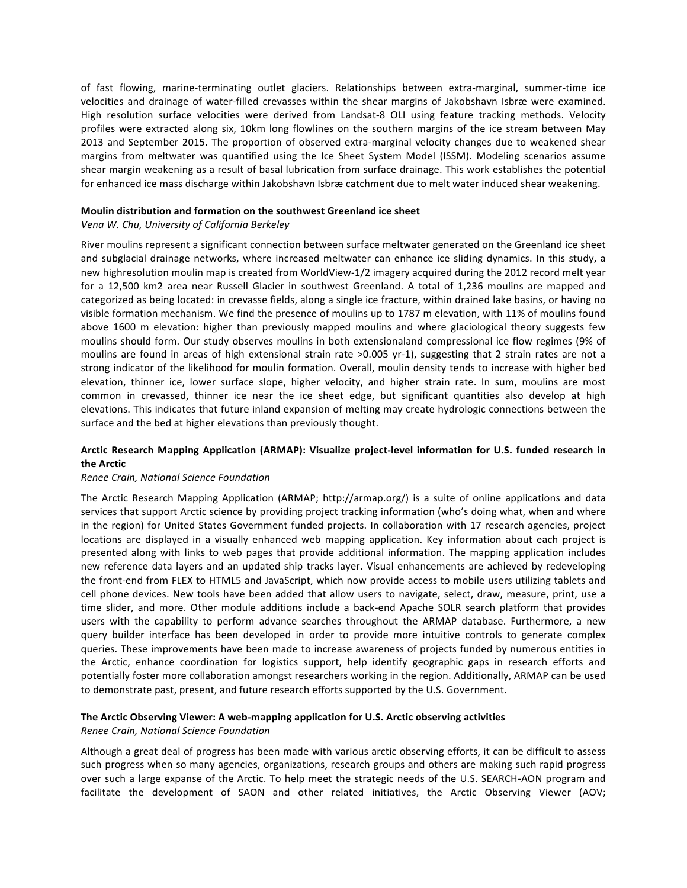of fast flowing, marine-terminating outlet glaciers. Relationships between extra-marginal, summer-time ice velocities and drainage of water-filled crevasses within the shear margins of Jakobshavn Isbræ were examined. High resolution surface velocities were derived from Landsat-8 OLI using feature tracking methods. Velocity profiles were extracted along six, 10km long flowlines on the southern margins of the ice stream between May 2013 and September 2015. The proportion of observed extra-marginal velocity changes due to weakened shear margins from meltwater was quantified using the Ice Sheet System Model (ISSM). Modeling scenarios assume shear margin weakening as a result of basal lubrication from surface drainage. This work establishes the potential for enhanced ice mass discharge within Jakobshavn Isbræ catchment due to melt water induced shear weakening.

### **Moulin distribution and formation on the southwest Greenland ice sheet**

## *Vena W. Chu, University of California Berkeley*

River moulins represent a significant connection between surface meltwater generated on the Greenland ice sheet and subglacial drainage networks, where increased meltwater can enhance ice sliding dynamics. In this study, a new highresolution moulin map is created from WorldView-1/2 imagery acquired during the 2012 record melt year for a 12,500 km2 area near Russell Glacier in southwest Greenland. A total of 1,236 moulins are mapped and categorized as being located: in crevasse fields, along a single ice fracture, within drained lake basins, or having no visible formation mechanism. We find the presence of moulins up to 1787 m elevation, with 11% of moulins found above 1600 m elevation: higher than previously mapped moulins and where glaciological theory suggests few moulins should form. Our study observes moulins in both extensionaland compressional ice flow regimes (9% of moulins are found in areas of high extensional strain rate >0.005 yr-1), suggesting that 2 strain rates are not a strong indicator of the likelihood for moulin formation. Overall, moulin density tends to increase with higher bed elevation, thinner ice, lower surface slope, higher velocity, and higher strain rate. In sum, moulins are most common in crevassed, thinner ice near the ice sheet edge, but significant quantities also develop at high elevations. This indicates that future inland expansion of melting may create hydrologic connections between the surface and the bed at higher elevations than previously thought.

## Arctic Research Mapping Application (ARMAP): Visualize project-level information for U.S. funded research in **the Arctic**

#### *Renee Crain, National Science Foundation*

The Arctic Research Mapping Application (ARMAP; http://armap.org/) is a suite of online applications and data services that support Arctic science by providing project tracking information (who's doing what, when and where in the region) for United States Government funded projects. In collaboration with 17 research agencies, project locations are displayed in a visually enhanced web mapping application. Key information about each project is presented along with links to web pages that provide additional information. The mapping application includes new reference data layers and an updated ship tracks layer. Visual enhancements are achieved by redeveloping the front-end from FLEX to HTML5 and JavaScript, which now provide access to mobile users utilizing tablets and cell phone devices. New tools have been added that allow users to navigate, select, draw, measure, print, use a time slider, and more. Other module additions include a back-end Apache SOLR search platform that provides users with the capability to perform advance searches throughout the ARMAP database. Furthermore, a new query builder interface has been developed in order to provide more intuitive controls to generate complex queries. These improvements have been made to increase awareness of projects funded by numerous entities in the Arctic, enhance coordination for logistics support, help identify geographic gaps in research efforts and potentially foster more collaboration amongst researchers working in the region. Additionally, ARMAP can be used to demonstrate past, present, and future research efforts supported by the U.S. Government.

## The Arctic Observing Viewer: A web-mapping application for U.S. Arctic observing activities

#### *Renee Crain, National Science Foundation*

Although a great deal of progress has been made with various arctic observing efforts, it can be difficult to assess such progress when so many agencies, organizations, research groups and others are making such rapid progress over such a large expanse of the Arctic. To help meet the strategic needs of the U.S. SEARCH-AON program and facilitate the development of SAON and other related initiatives, the Arctic Observing Viewer (AOV;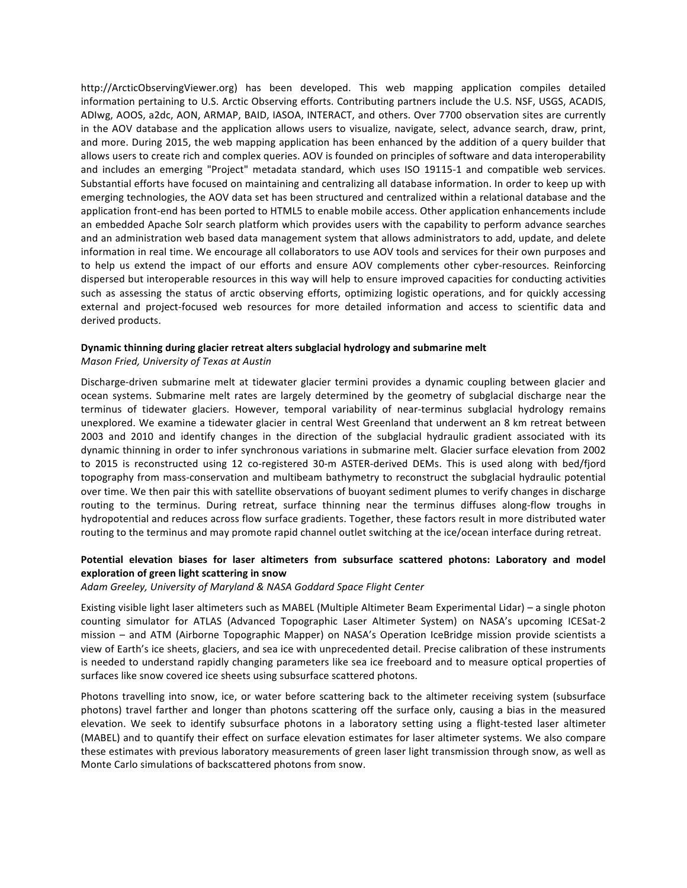http://ArcticObservingViewer.org) has been developed. This web mapping application compiles detailed information pertaining to U.S. Arctic Observing efforts. Contributing partners include the U.S. NSF, USGS, ACADIS, ADIwg, AOOS, a2dc, AON, ARMAP, BAID, IASOA, INTERACT, and others. Over 7700 observation sites are currently in the AOV database and the application allows users to visualize, navigate, select, advance search, draw, print, and more. During 2015, the web mapping application has been enhanced by the addition of a query builder that allows users to create rich and complex queries. AOV is founded on principles of software and data interoperability and includes an emerging "Project" metadata standard, which uses ISO 19115-1 and compatible web services. Substantial efforts have focused on maintaining and centralizing all database information. In order to keep up with emerging technologies, the AOV data set has been structured and centralized within a relational database and the application front-end has been ported to HTML5 to enable mobile access. Other application enhancements include an embedded Apache Solr search platform which provides users with the capability to perform advance searches and an administration web based data management system that allows administrators to add, update, and delete information in real time. We encourage all collaborators to use AOV tools and services for their own purposes and to help us extend the impact of our efforts and ensure AOV complements other cyber-resources. Reinforcing dispersed but interoperable resources in this way will help to ensure improved capacities for conducting activities such as assessing the status of arctic observing efforts, optimizing logistic operations, and for quickly accessing external and project-focused web resources for more detailed information and access to scientific data and derived products.

### Dynamic thinning during glacier retreat alters subglacial hydrology and submarine melt

*Mason Fried, University of Texas at Austin*

Discharge-driven submarine melt at tidewater glacier termini provides a dynamic coupling between glacier and ocean systems. Submarine melt rates are largely determined by the geometry of subglacial discharge near the terminus of tidewater glaciers. However, temporal variability of near-terminus subglacial hydrology remains unexplored. We examine a tidewater glacier in central West Greenland that underwent an 8 km retreat between 2003 and 2010 and identify changes in the direction of the subglacial hydraulic gradient associated with its dynamic thinning in order to infer synchronous variations in submarine melt. Glacier surface elevation from 2002 to 2015 is reconstructed using 12 co-registered 30-m ASTER-derived DEMs. This is used along with bed/fjord topography from mass-conservation and multibeam bathymetry to reconstruct the subglacial hydraulic potential over time. We then pair this with satellite observations of buoyant sediment plumes to verify changes in discharge routing to the terminus. During retreat, surface thinning near the terminus diffuses along-flow troughs in hydropotential and reduces across flow surface gradients. Together, these factors result in more distributed water routing to the terminus and may promote rapid channel outlet switching at the ice/ocean interface during retreat.

## Potential elevation biases for laser altimeters from subsurface scattered photons: Laboratory and model **exploration of green light scattering in snow**

#### Adam Greeley, University of Maryland & NASA Goddard Space Flight Center

Existing visible light laser altimeters such as MABEL (Multiple Altimeter Beam Experimental Lidar) – a single photon counting simulator for ATLAS (Advanced Topographic Laser Altimeter System) on NASA's upcoming ICESat-2 mission – and ATM (Airborne Topographic Mapper) on NASA's Operation IceBridge mission provide scientists a view of Earth's ice sheets, glaciers, and sea ice with unprecedented detail. Precise calibration of these instruments is needed to understand rapidly changing parameters like sea ice freeboard and to measure optical properties of surfaces like snow covered ice sheets using subsurface scattered photons.

Photons travelling into snow, ice, or water before scattering back to the altimeter receiving system (subsurface photons) travel farther and longer than photons scattering off the surface only, causing a bias in the measured elevation. We seek to identify subsurface photons in a laboratory setting using a flight-tested laser altimeter (MABEL) and to quantify their effect on surface elevation estimates for laser altimeter systems. We also compare these estimates with previous laboratory measurements of green laser light transmission through snow, as well as Monte Carlo simulations of backscattered photons from snow.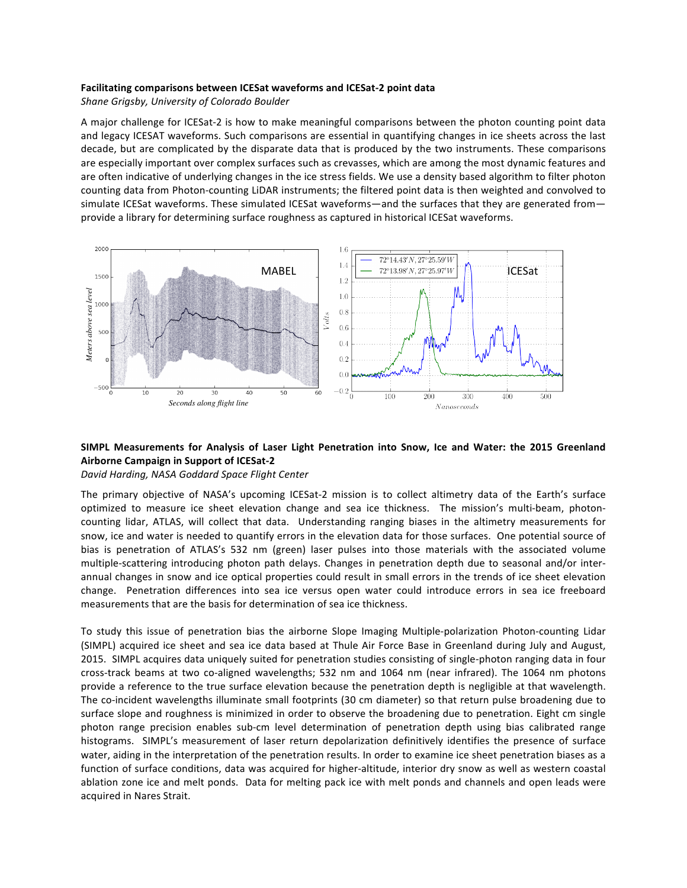## **Facilitating comparisons between ICESat waveforms and ICESat-2 point data**

Shane Grigsby, University of Colorado Boulder

A major challenge for ICESat-2 is how to make meaningful comparisons between the photon counting point data and legacy ICESAT waveforms. Such comparisons are essential in quantifying changes in ice sheets across the last decade, but are complicated by the disparate data that is produced by the two instruments. These comparisons are especially important over complex surfaces such as crevasses, which are among the most dynamic features and are often indicative of underlying changes in the ice stress fields. We use a density based algorithm to filter photon counting data from Photon-counting LiDAR instruments; the filtered point data is then weighted and convolved to simulate ICESat waveforms. These simulated ICESat waveforms—and the surfaces that they are generated from provide a library for determining surface roughness as captured in historical ICESat waveforms.



# SIMPL Measurements for Analysis of Laser Light Penetration into Snow, Ice and Water: the 2015 Greenland **Airborne Campaign in Support of ICESat-2**

*David Harding, NASA Goddard Space Flight Center*

The primary objective of NASA's upcoming ICESat-2 mission is to collect altimetry data of the Earth's surface optimized to measure ice sheet elevation change and sea ice thickness. The mission's multi-beam, photoncounting lidar, ATLAS, will collect that data. Understanding ranging biases in the altimetry measurements for snow, ice and water is needed to quantify errors in the elevation data for those surfaces. One potential source of bias is penetration of ATLAS's 532 nm (green) laser pulses into those materials with the associated volume multiple-scattering introducing photon path delays. Changes in penetration depth due to seasonal and/or interannual changes in snow and ice optical properties could result in small errors in the trends of ice sheet elevation change. Penetration differences into sea ice versus open water could introduce errors in sea ice freeboard measurements that are the basis for determination of sea ice thickness.

To study this issue of penetration bias the airborne Slope Imaging Multiple-polarization Photon-counting Lidar (SIMPL) acquired ice sheet and sea ice data based at Thule Air Force Base in Greenland during July and August, 2015. SIMPL acquires data uniquely suited for penetration studies consisting of single-photon ranging data in four cross-track beams at two co-aligned wavelengths; 532 nm and 1064 nm (near infrared). The 1064 nm photons provide a reference to the true surface elevation because the penetration depth is negligible at that wavelength. The co-incident wavelengths illuminate small footprints (30 cm diameter) so that return pulse broadening due to surface slope and roughness is minimized in order to observe the broadening due to penetration. Eight cm single photon range precision enables sub-cm level determination of penetration depth using bias calibrated range histograms. SIMPL's measurement of laser return depolarization definitively identifies the presence of surface water, aiding in the interpretation of the penetration results. In order to examine ice sheet penetration biases as a function of surface conditions, data was acquired for higher-altitude, interior dry snow as well as western coastal ablation zone ice and melt ponds. Data for melting pack ice with melt ponds and channels and open leads were acquired in Nares Strait.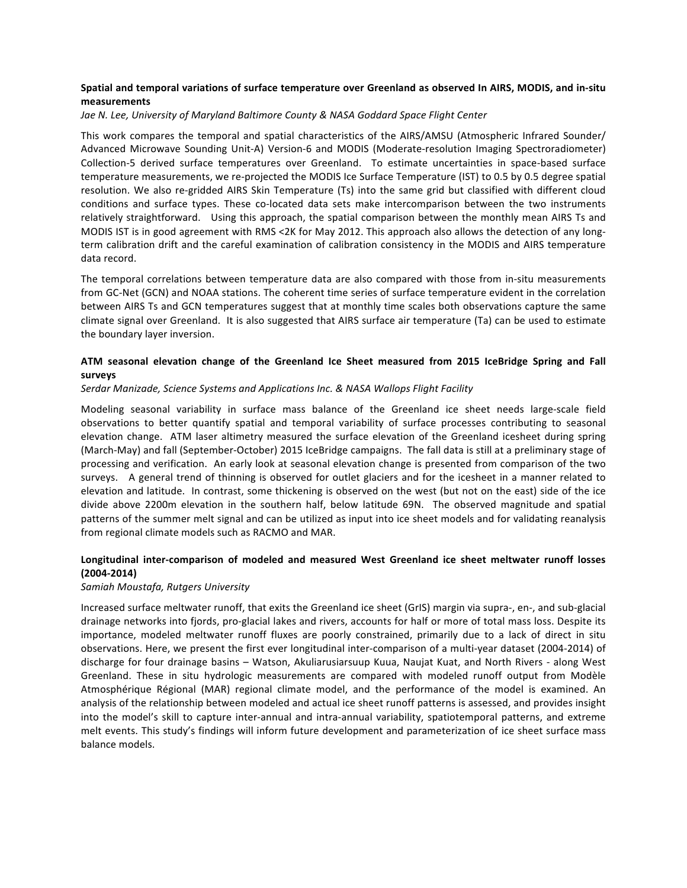## Spatial and temporal variations of surface temperature over Greenland as observed In AIRS, MODIS, and in-situ measurements

## Jae N. Lee, University of Maryland Baltimore County & NASA Goddard Space Flight Center

This work compares the temporal and spatial characteristics of the AIRS/AMSU (Atmospheric Infrared Sounder/ Advanced Microwave Sounding Unit-A) Version-6 and MODIS (Moderate-resolution Imaging Spectroradiometer) Collection-5 derived surface temperatures over Greenland. To estimate uncertainties in space-based surface temperature measurements, we re-projected the MODIS Ice Surface Temperature (IST) to 0.5 by 0.5 degree spatial resolution. We also re-gridded AIRS Skin Temperature (Ts) into the same grid but classified with different cloud conditions and surface types. These co-located data sets make intercomparison between the two instruments relatively straightforward. Using this approach, the spatial comparison between the monthly mean AIRS Ts and MODIS IST is in good agreement with RMS <2K for May 2012. This approach also allows the detection of any longterm calibration drift and the careful examination of calibration consistency in the MODIS and AIRS temperature data record.

The temporal correlations between temperature data are also compared with those from in-situ measurements from GC-Net (GCN) and NOAA stations. The coherent time series of surface temperature evident in the correlation between AIRS Ts and GCN temperatures suggest that at monthly time scales both observations capture the same climate signal over Greenland. It is also suggested that AIRS surface air temperature (Ta) can be used to estimate the boundary layer inversion.

## ATM seasonal elevation change of the Greenland Ice Sheet measured from 2015 IceBridge Spring and Fall **surveys**

## Serdar Manizade, Science Systems and Applications Inc. & NASA Wallops Flight Facility

Modeling seasonal variability in surface mass balance of the Greenland ice sheet needs large-scale field observations to better quantify spatial and temporal variability of surface processes contributing to seasonal elevation change. ATM laser altimetry measured the surface elevation of the Greenland icesheet during spring (March-May) and fall (September-October) 2015 IceBridge campaigns. The fall data is still at a preliminary stage of processing and verification. An early look at seasonal elevation change is presented from comparison of the two surveys. A general trend of thinning is observed for outlet glaciers and for the icesheet in a manner related to elevation and latitude. In contrast, some thickening is observed on the west (but not on the east) side of the ice divide above 2200m elevation in the southern half, below latitude 69N. The observed magnitude and spatial patterns of the summer melt signal and can be utilized as input into ice sheet models and for validating reanalysis from regional climate models such as RACMO and MAR.

## Longitudinal inter-comparison of modeled and measured West Greenland ice sheet meltwater runoff losses **(2004-2014)**

## *Samiah Moustafa, Rutgers University*

Increased surface meltwater runoff, that exits the Greenland ice sheet (GrIS) margin via supra-, en-, and sub-glacial drainage networks into fjords, pro-glacial lakes and rivers, accounts for half or more of total mass loss. Despite its importance, modeled meltwater runoff fluxes are poorly constrained, primarily due to a lack of direct in situ observations. Here, we present the first ever longitudinal inter-comparison of a multi-year dataset (2004-2014) of discharge for four drainage basins – Watson, Akuliarusiarsuup Kuua, Naujat Kuat, and North Rivers - along West Greenland. These in situ hydrologic measurements are compared with modeled runoff output from Modèle Atmosphérique Régional (MAR) regional climate model, and the performance of the model is examined. An analysis of the relationship between modeled and actual ice sheet runoff patterns is assessed, and provides insight into the model's skill to capture inter-annual and intra-annual variability, spatiotemporal patterns, and extreme melt events. This study's findings will inform future development and parameterization of ice sheet surface mass balance models.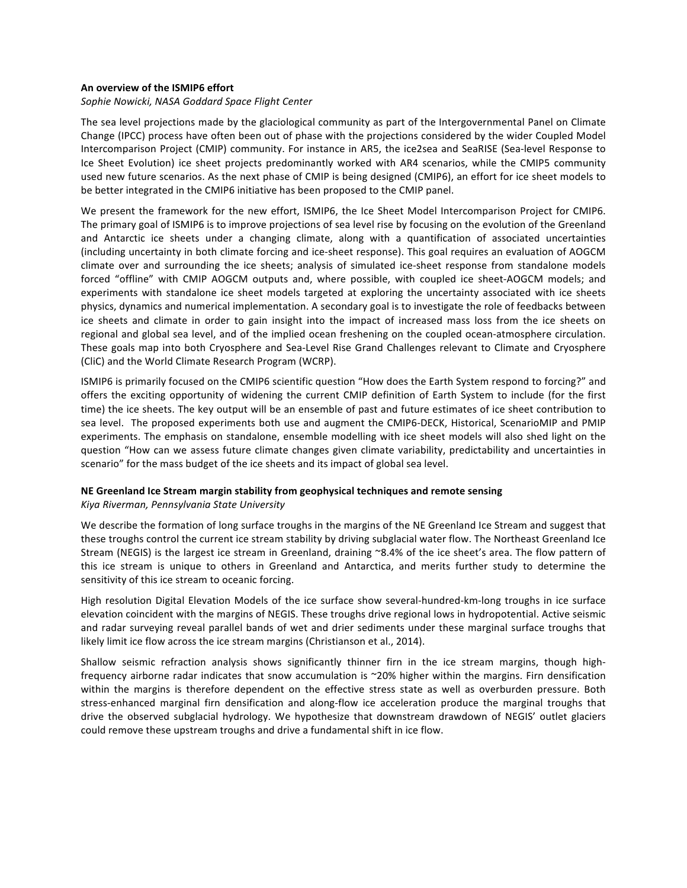### An overview of the ISMIP6 effort

#### Sophie Nowicki, NASA Goddard Space Flight Center

The sea level projections made by the glaciological community as part of the Intergovernmental Panel on Climate Change (IPCC) process have often been out of phase with the projections considered by the wider Coupled Model Intercomparison Project (CMIP) community. For instance in AR5, the ice2sea and SeaRISE (Sea-level Response to Ice Sheet Evolution) ice sheet projects predominantly worked with AR4 scenarios, while the CMIP5 community used new future scenarios. As the next phase of CMIP is being designed (CMIP6), an effort for ice sheet models to be better integrated in the CMIP6 initiative has been proposed to the CMIP panel.

We present the framework for the new effort, ISMIP6, the Ice Sheet Model Intercomparison Project for CMIP6. The primary goal of ISMIP6 is to improve projections of sea level rise by focusing on the evolution of the Greenland and Antarctic ice sheets under a changing climate, along with a quantification of associated uncertainties (including uncertainty in both climate forcing and ice-sheet response). This goal requires an evaluation of AOGCM climate over and surrounding the ice sheets; analysis of simulated ice-sheet response from standalone models forced "offline" with CMIP AOGCM outputs and, where possible, with coupled ice sheet-AOGCM models; and experiments with standalone ice sheet models targeted at exploring the uncertainty associated with ice sheets physics, dynamics and numerical implementation. A secondary goal is to investigate the role of feedbacks between ice sheets and climate in order to gain insight into the impact of increased mass loss from the ice sheets on regional and global sea level, and of the implied ocean freshening on the coupled ocean-atmosphere circulation. These goals map into both Cryosphere and Sea-Level Rise Grand Challenges relevant to Climate and Cryosphere (CliC) and the World Climate Research Program (WCRP).

ISMIP6 is primarily focused on the CMIP6 scientific question "How does the Earth System respond to forcing?" and offers the exciting opportunity of widening the current CMIP definition of Earth System to include (for the first time) the ice sheets. The key output will be an ensemble of past and future estimates of ice sheet contribution to sea level. The proposed experiments both use and augment the CMIP6-DECK, Historical, ScenarioMIP and PMIP experiments. The emphasis on standalone, ensemble modelling with ice sheet models will also shed light on the question "How can we assess future climate changes given climate variability, predictability and uncertainties in scenario" for the mass budget of the ice sheets and its impact of global sea level.

## **NE Greenland Ice Stream margin stability from geophysical techniques and remote sensing**

### *Kiya Riverman, Pennsylvania State University*

We describe the formation of long surface troughs in the margins of the NE Greenland Ice Stream and suggest that these troughs control the current ice stream stability by driving subglacial water flow. The Northeast Greenland Ice Stream (NEGIS) is the largest ice stream in Greenland, draining  $^{\circ}8.4\%$  of the ice sheet's area. The flow pattern of this ice stream is unique to others in Greenland and Antarctica, and merits further study to determine the sensitivity of this ice stream to oceanic forcing.

High resolution Digital Elevation Models of the ice surface show several-hundred-km-long troughs in ice surface elevation coincident with the margins of NEGIS. These troughs drive regional lows in hydropotential. Active seismic and radar surveying reveal parallel bands of wet and drier sediments under these marginal surface troughs that likely limit ice flow across the ice stream margins (Christianson et al., 2014).

Shallow seismic refraction analysis shows significantly thinner firn in the ice stream margins, though highfrequency airborne radar indicates that snow accumulation is ~20% higher within the margins. Firn densification within the margins is therefore dependent on the effective stress state as well as overburden pressure. Both stress-enhanced marginal firn densification and along-flow ice acceleration produce the marginal troughs that drive the observed subglacial hydrology. We hypothesize that downstream drawdown of NEGIS' outlet glaciers could remove these upstream troughs and drive a fundamental shift in ice flow.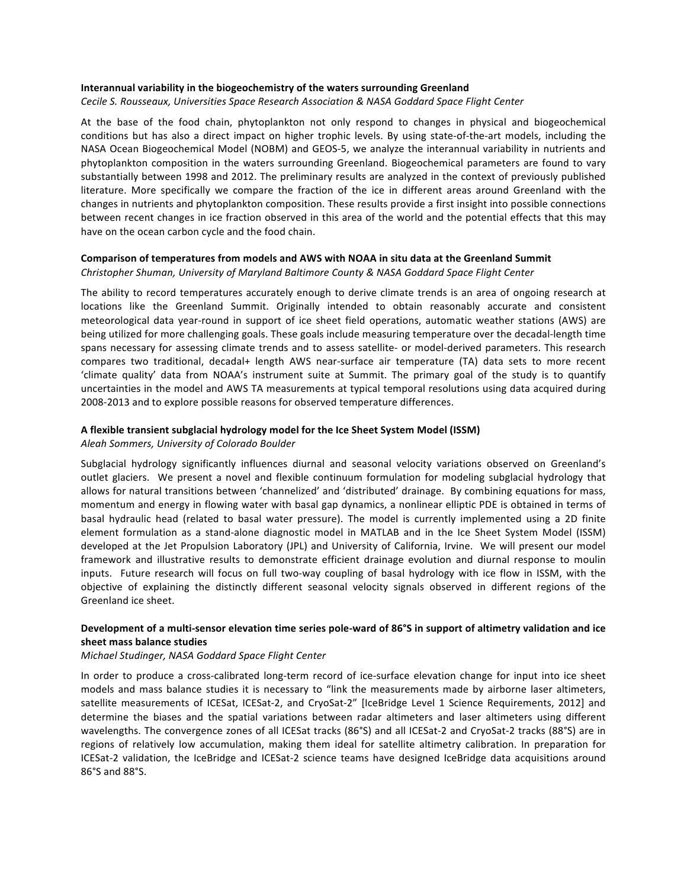### **Interannual variability in the biogeochemistry of the waters surrounding Greenland**

Cecile S. Rousseaux, Universities Space Research Association & NASA Goddard Space Flight Center

At the base of the food chain, phytoplankton not only respond to changes in physical and biogeochemical conditions but has also a direct impact on higher trophic levels. By using state-of-the-art models, including the NASA Ocean Biogeochemical Model (NOBM) and GEOS-5, we analyze the interannual variability in nutrients and phytoplankton composition in the waters surrounding Greenland. Biogeochemical parameters are found to vary substantially between 1998 and 2012. The preliminary results are analyzed in the context of previously published literature. More specifically we compare the fraction of the ice in different areas around Greenland with the changes in nutrients and phytoplankton composition. These results provide a first insight into possible connections between recent changes in ice fraction observed in this area of the world and the potential effects that this may have on the ocean carbon cycle and the food chain.

### Comparison of temperatures from models and AWS with NOAA in situ data at the Greenland Summit

Christopher Shuman, University of Maryland Baltimore County & NASA Goddard Space Flight Center

The ability to record temperatures accurately enough to derive climate trends is an area of ongoing research at locations like the Greenland Summit. Originally intended to obtain reasonably accurate and consistent meteorological data year-round in support of ice sheet field operations, automatic weather stations (AWS) are being utilized for more challenging goals. These goals include measuring temperature over the decadal-length time spans necessary for assessing climate trends and to assess satellite- or model-derived parameters. This research compares two traditional, decadal+ length AWS near-surface air temperature (TA) data sets to more recent 'climate quality' data from NOAA's instrument suite at Summit. The primary goal of the study is to quantify uncertainties in the model and AWS TA measurements at typical temporal resolutions using data acquired during 2008-2013 and to explore possible reasons for observed temperature differences.

## A flexible transient subglacial hydrology model for the Ice Sheet System Model (ISSM)

*Aleah Sommers, University of Colorado Boulder*

Subglacial hydrology significantly influences diurnal and seasonal velocity variations observed on Greenland's outlet glaciers. We present a novel and flexible continuum formulation for modeling subglacial hydrology that allows for natural transitions between 'channelized' and 'distributed' drainage. By combining equations for mass, momentum and energy in flowing water with basal gap dynamics, a nonlinear elliptic PDE is obtained in terms of basal hydraulic head (related to basal water pressure). The model is currently implemented using a 2D finite element formulation as a stand-alone diagnostic model in MATLAB and in the Ice Sheet System Model (ISSM) developed at the Jet Propulsion Laboratory (JPL) and University of California, Irvine. We will present our model framework and illustrative results to demonstrate efficient drainage evolution and diurnal response to moulin inputs. Future research will focus on full two-way coupling of basal hydrology with ice flow in ISSM, with the objective of explaining the distinctly different seasonal velocity signals observed in different regions of the Greenland ice sheet.

## Development of a multi-sensor elevation time series pole-ward of 86°S in support of altimetry validation and ice **sheet mass balance studies**

#### *Michael Studinger, NASA Goddard Space Flight Center*

In order to produce a cross-calibrated long-term record of ice-surface elevation change for input into ice sheet models and mass balance studies it is necessary to "link the measurements made by airborne laser altimeters, satellite measurements of ICESat, ICESat-2, and CryoSat-2" [IceBridge Level 1 Science Requirements, 2012] and determine the biases and the spatial variations between radar altimeters and laser altimeters using different wavelengths. The convergence zones of all ICESat tracks (86°S) and all ICESat-2 and CryoSat-2 tracks (88°S) are in regions of relatively low accumulation, making them ideal for satellite altimetry calibration. In preparation for ICESat-2 validation, the IceBridge and ICESat-2 science teams have designed IceBridge data acquisitions around 86°S and 88°S.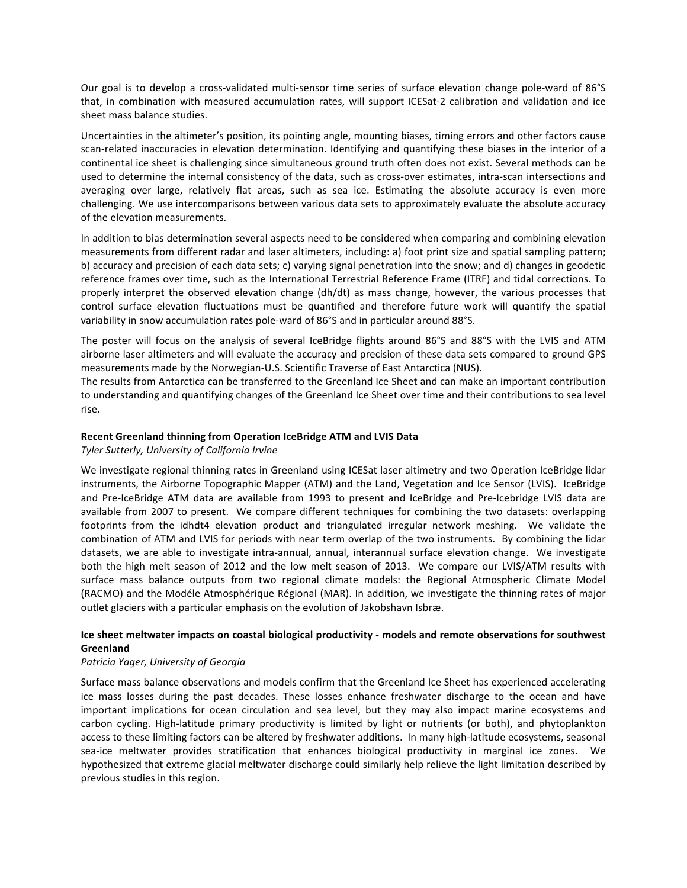Our goal is to develop a cross-validated multi-sensor time series of surface elevation change pole-ward of 86°S that, in combination with measured accumulation rates, will support ICESat-2 calibration and validation and ice sheet mass balance studies.

Uncertainties in the altimeter's position, its pointing angle, mounting biases, timing errors and other factors cause scan-related inaccuracies in elevation determination. Identifying and quantifying these biases in the interior of a continental ice sheet is challenging since simultaneous ground truth often does not exist. Several methods can be used to determine the internal consistency of the data, such as cross-over estimates, intra-scan intersections and averaging over large, relatively flat areas, such as sea ice. Estimating the absolute accuracy is even more challenging. We use intercomparisons between various data sets to approximately evaluate the absolute accuracy of the elevation measurements.

In addition to bias determination several aspects need to be considered when comparing and combining elevation measurements from different radar and laser altimeters, including: a) foot print size and spatial sampling pattern; b) accuracy and precision of each data sets; c) varying signal penetration into the snow; and d) changes in geodetic reference frames over time, such as the International Terrestrial Reference Frame (ITRF) and tidal corrections. To properly interpret the observed elevation change  $\frac{dh}{dt}$  as mass change, however, the various processes that control surface elevation fluctuations must be quantified and therefore future work will quantify the spatial variability in snow accumulation rates pole-ward of 86°S and in particular around 88°S.

The poster will focus on the analysis of several IceBridge flights around 86°S and 88°S with the LVIS and ATM airborne laser altimeters and will evaluate the accuracy and precision of these data sets compared to ground GPS measurements made by the Norwegian-U.S. Scientific Traverse of East Antarctica (NUS).

The results from Antarctica can be transferred to the Greenland Ice Sheet and can make an important contribution to understanding and quantifying changes of the Greenland Ice Sheet over time and their contributions to sea level rise.

## **Recent Greenland thinning from Operation IceBridge ATM and LVIS Data**

## *Tyler Sutterly, University of California Irvine*

We investigate regional thinning rates in Greenland using ICESat laser altimetry and two Operation IceBridge lidar instruments, the Airborne Topographic Mapper (ATM) and the Land, Vegetation and Ice Sensor (LVIS). IceBridge and Pre-IceBridge ATM data are available from 1993 to present and IceBridge and Pre-Icebridge LVIS data are available from 2007 to present. We compare different techniques for combining the two datasets: overlapping footprints from the idhdt4 elevation product and triangulated irregular network meshing. We validate the combination of ATM and LVIS for periods with near term overlap of the two instruments. By combining the lidar datasets, we are able to investigate intra-annual, annual, interannual surface elevation change. We investigate both the high melt season of 2012 and the low melt season of 2013. We compare our LVIS/ATM results with surface mass balance outputs from two regional climate models: the Regional Atmospheric Climate Model (RACMO) and the Modéle Atmosphérique Régional (MAR). In addition, we investigate the thinning rates of major outlet glaciers with a particular emphasis on the evolution of Jakobshavn Isbræ.

## Ice sheet meltwater impacts on coastal biological productivity - models and remote observations for southwest **Greenland**

## *Patricia Yager, University of Georgia*

Surface mass balance observations and models confirm that the Greenland Ice Sheet has experienced accelerating ice mass losses during the past decades. These losses enhance freshwater discharge to the ocean and have important implications for ocean circulation and sea level, but they may also impact marine ecosystems and carbon cycling. High-latitude primary productivity is limited by light or nutrients (or both), and phytoplankton access to these limiting factors can be altered by freshwater additions. In many high-latitude ecosystems, seasonal sea-ice meltwater provides stratification that enhances biological productivity in marginal ice zones. We hypothesized that extreme glacial meltwater discharge could similarly help relieve the light limitation described by previous studies in this region.